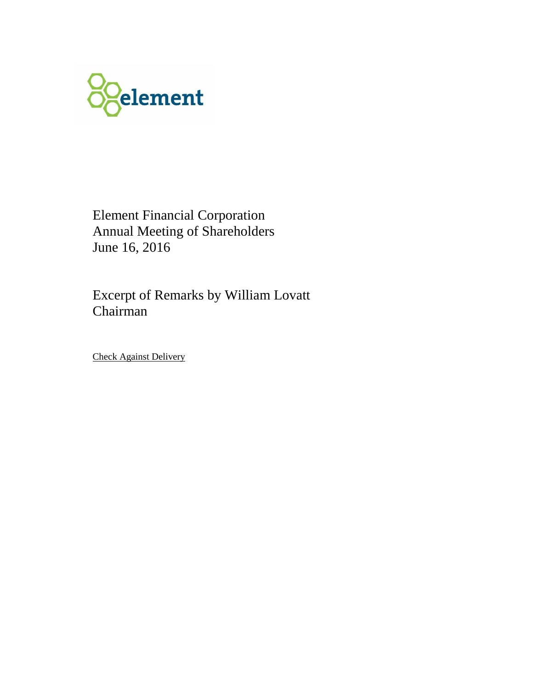

Element Financial Corporation Annual Meeting of Shareholders June 16, 2016

Excerpt of Remarks by William Lovatt Chairman

Check Against Delivery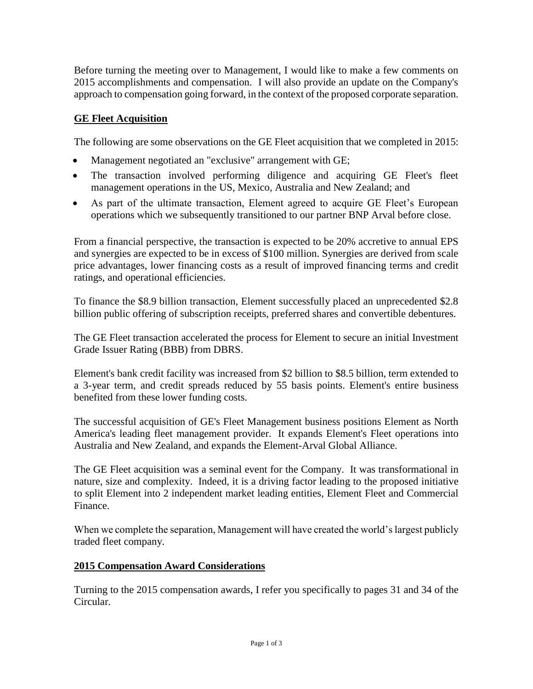Before turning the meeting over to Management, I would like to make a few comments on 2015 accomplishments and compensation. I will also provide an update on the Company's approach to compensation going forward, in the context of the proposed corporate separation.

## **GE Fleet Acquisition**

The following are some observations on the GE Fleet acquisition that we completed in 2015:

- Management negotiated an "exclusive" arrangement with GE;
- The transaction involved performing diligence and acquiring GE Fleet's fleet management operations in the US, Mexico, Australia and New Zealand; and
- As part of the ultimate transaction, Element agreed to acquire GE Fleet's European operations which we subsequently transitioned to our partner BNP Arval before close.

From a financial perspective, the transaction is expected to be 20% accretive to annual EPS and synergies are expected to be in excess of \$100 million. Synergies are derived from scale price advantages, lower financing costs as a result of improved financing terms and credit ratings, and operational efficiencies.

To finance the \$8.9 billion transaction, Element successfully placed an unprecedented \$2.8 billion public offering of subscription receipts, preferred shares and convertible debentures.

The GE Fleet transaction accelerated the process for Element to secure an initial Investment Grade Issuer Rating (BBB) from DBRS.

Element's bank credit facility was increased from \$2 billion to \$8.5 billion, term extended to a 3-year term, and credit spreads reduced by 55 basis points. Element's entire business benefited from these lower funding costs.

The successful acquisition of GE's Fleet Management business positions Element as North America's leading fleet management provider. It expands Element's Fleet operations into Australia and New Zealand, and expands the Element-Arval Global Alliance.

The GE Fleet acquisition was a seminal event for the Company. It was transformational in nature, size and complexity. Indeed, it is a driving factor leading to the proposed initiative to split Element into 2 independent market leading entities, Element Fleet and Commercial Finance.

When we complete the separation, Management will have created the world's largest publicly traded fleet company.

## **2015 Compensation Award Considerations**

Turning to the 2015 compensation awards, I refer you specifically to pages 31 and 34 of the Circular.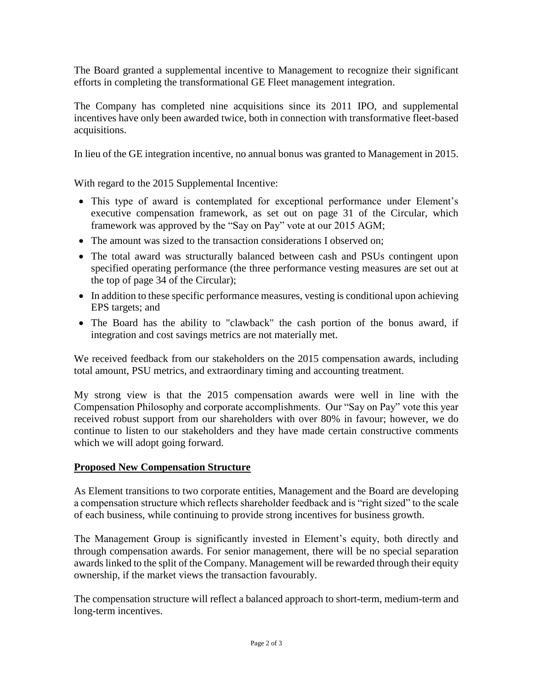The Board granted a supplemental incentive to Management to recognize their significant efforts in completing the transformational GE Fleet management integration.

The Company has completed nine acquisitions since its 2011 IPO, and supplemental incentives have only been awarded twice, both in connection with transformative fleet-based acquisitions.

In lieu of the GE integration incentive, no annual bonus was granted to Management in 2015.

With regard to the 2015 Supplemental Incentive:

- This type of award is contemplated for exceptional performance under Element's executive compensation framework, as set out on page 31 of the Circular, which framework was approved by the "Say on Pay" vote at our 2015 AGM;
- The amount was sized to the transaction considerations I observed on:
- The total award was structurally balanced between cash and PSUs contingent upon specified operating performance (the three performance vesting measures are set out at the top of page 34 of the Circular);
- In addition to these specific performance measures, vesting is conditional upon achieving EPS targets; and
- The Board has the ability to "clawback" the cash portion of the bonus award, if integration and cost savings metrics are not materially met.

We received feedback from our stakeholders on the 2015 compensation awards, including total amount, PSU metrics, and extraordinary timing and accounting treatment.

My strong view is that the 2015 compensation awards were well in line with the Compensation Philosophy and corporate accomplishments. Our "Say on Pay" vote this year received robust support from our shareholders with over 80% in favour; however, we do continue to listen to our stakeholders and they have made certain constructive comments which we will adopt going forward.

## **Proposed New Compensation Structure**

As Element transitions to two corporate entities, Management and the Board are developing a compensation structure which reflects shareholder feedback and is "right sized" to the scale of each business, while continuing to provide strong incentives for business growth.

The Management Group is significantly invested in Element's equity, both directly and through compensation awards. For senior management, there will be no special separation awards linked to the split of the Company. Management will be rewarded through their equity ownership, if the market views the transaction favourably.

The compensation structure will reflect a balanced approach to short-term, medium-term and long-term incentives.